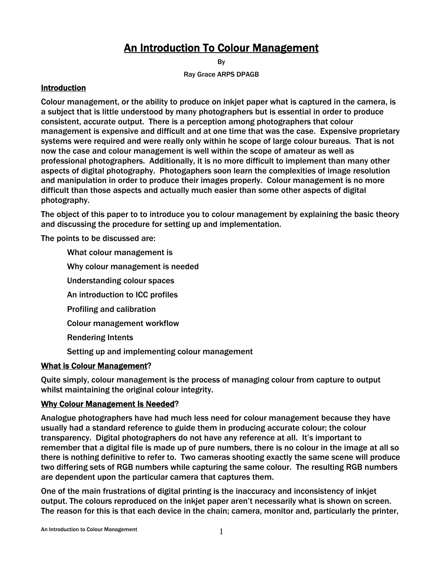# An Introduction To Colour Management

By

Ray Grace ARPS DPAGB

#### Introduction

Colour management, or the ability to produce on inkjet paper what is captured in the camera, is a subject that is little understood by many photographers but is essential in order to produce consistent, accurate output. There is a perception among photographers that colour management is expensive and difficult and at one time that was the case. Expensive proprietary systems were required and were really only within he scope of large colour bureaus. That is not now the case and colour management is well within the scope of amateur as well as professional photographers. Additionally, it is no more difficult to implement than many other aspects of digital photography. Photogaphers soon learn the complexities of image resolution and manipulation in order to produce their images properly. Colour management is no more difficult than those aspects and actually much easier than some other aspects of digital photography.

The object of this paper to to introduce you to colour management by explaining the basic theory and discussing the procedure for setting up and implementation.

The points to be discussed are:

- What colour management is
- Why colour management is needed
- Understanding colour spaces
- An introduction to ICC profiles
- Profiling and calibration
- Colour management workflow
- Rendering Intents
- Setting up and implementing colour management

#### What is Colour Management?

Quite simply, colour management is the process of managing colour from capture to output whilst maintaining the original colour integrity.

#### Why Colour Management Is Needed?

Analogue photographers have had much less need for colour management because they have usually had a standard reference to guide them in producing accurate colour; the colour transparency. Digital photographers do not have any reference at all. It's important to remember that a digital file is made up of pure numbers, there is no colour in the image at all so there is nothing definitive to refer to. Two cameras shooting exactly the same scene will produce two differing sets of RGB numbers while capturing the same colour. The resulting RGB numbers are dependent upon the particular camera that captures them.

One of the main frustrations of digital printing is the inaccuracy and inconsistency of inkjet output. The colours reproduced on the inkjet paper aren't necessarily what is shown on screen. The reason for this is that each device in the chain; camera, monitor and, particularly the printer,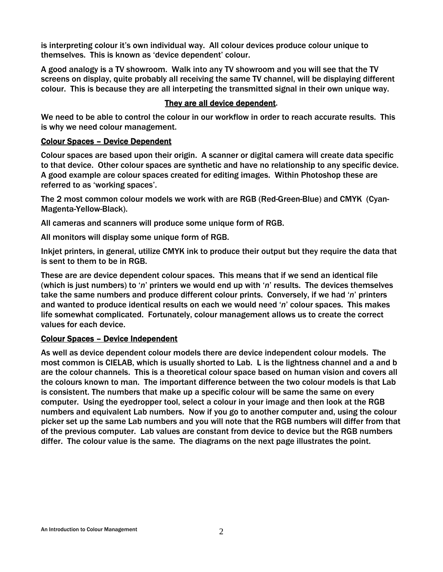is interpreting colour it's own individual way. All colour devices produce colour unique to themselves. This is known as 'device dependent' colour.

A good analogy is a TV showroom. Walk into any TV showroom and you will see that the TV screens on display, quite probably all receiving the same TV channel, will be displaying different colour. This is because they are all interpeting the transmitted signal in their own unique way.

### They are all device dependent.

We need to be able to control the colour in our workflow in order to reach accurate results. This is why we need colour management.

#### Colour Spaces – Device Dependent

Colour spaces are based upon their origin. A scanner or digital camera will create data specific to that device. Other colour spaces are synthetic and have no relationship to any specific device. A good example are colour spaces created for editing images. Within Photoshop these are referred to as 'working spaces'.

The 2 most common colour models we work with are RGB (Red-Green-Blue) and CMYK (Cyan-Magenta-Yellow-Black).

All cameras and scanners will produce some unique form of RGB.

All monitors will display some unique form of RGB.

Inkjet printers, in general, utilize CMYK ink to produce their output but they require the data that is sent to them to be in RGB.

These are are device dependent colour spaces. This means that if we send an identical file (which is just numbers) to '*n*' printers we would end up with '*n*' results. The devices themselves take the same numbers and produce different colour prints. Conversely, if we had '*n*' printers and wanted to produce identical results on each we would need '*n*' colour spaces. This makes life somewhat complicated. Fortunately, colour management allows us to create the correct values for each device.

#### Colour Spaces – Device Independent

As well as device dependent colour models there are device independent colour models. The most common is CIELAB, which is usually shorted to Lab. L is the lightness channel and a and b are the colour channels. This is a theoretical colour space based on human vision and covers all the colours known to man. The important difference between the two colour models is that Lab is consistent. The numbers that make up a specific colour will be same the same on every computer. Using the eyedropper tool, select a colour in your image and then look at the RGB numbers and equivalent Lab numbers. Now if you go to another computer and, using the colour picker set up the same Lab numbers and you will note that the RGB numbers will differ from that of the previous computer. Lab values are constant from device to device but the RGB numbers differ. The colour value is the same. The diagrams on the next page illustrates the point.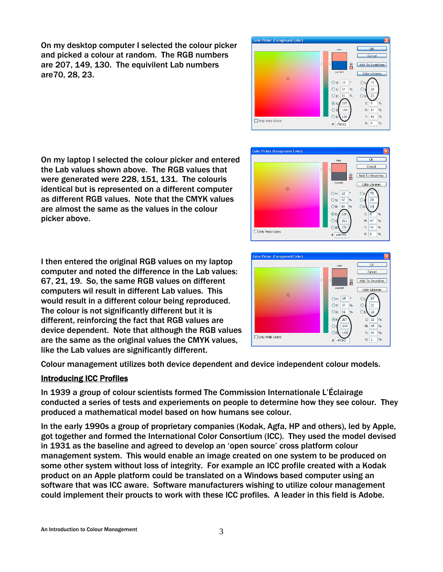On my desktop computer I selected the colour picker and picked a colour at random. The RGB numbers are 207, 149, 130. The equivilent Lab numbers are70, 28, 23.



olor Picker (Foreground Color)

Only Web Colors

On my laptop I selected the colour picker and entered the Lab values shown above. The RGB values that were generated were 228, 151, 131. The colouris identical but is represented on a different computer as different RGB values. Note that the CMYK values are almost the same as the values in the colour picker above.

I then entered the original RGB values on my laptop computer and noted the difference in the Lab values: 67, 21, 19. So, the same RGB values on different computers wil result in different Lab values. This would result in a different colour being reproduced. The colour is not significantly different but it is different, reinforcing the fact that RGB values are device dependent. Note that although the RGB values are the same as the original values the CMYK values, like the Lab values are significantly different.

Colour management utilizes both device dependent and device independent colour models.

## Introducing ICC Profiles

In 1939 a group of colour scientists formed The Commission Internationale L'Éclairage conducted a series of tests and experiements on people to determine how they see colour. They produced a mathematical model based on how humans see colour.

In the early 1990s a group of proprietary companies (Kodak, Agfa, HP and others), led by Apple, got together and formed the International Color Consortium (ICC). They used the model devised in 1931 as the baseline and agreed to develop an 'open source' cross platform colour management system. This would enable an image created on one system to be produced on some other system without loss of integrity. For example an ICC profile created with a Kodak product on an Apple platform could be translated on a Windows based computer using an software that was ICC aware. Software manufacturers wishing to utilize colour management could implement their proucts to work with these ICC profiles. A leader in this field is Adobe.



OH: 15

Os: 37 %

OB: 81

 $\bigcirc$ 

 $\epsilon$  $\overline{21}$ 

> 18 M: 45 Y: 46 %

 $K: 1$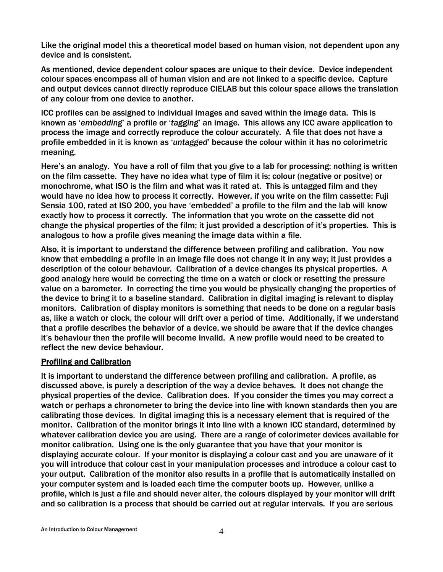Like the original model this a theoretical model based on human vision, not dependent upon any device and is consistent.

As mentioned, device dependent colour spaces are unique to their device. Device independent colour spaces encompass all of human vision and are not linked to a specific device. Capture and output devices cannot directly reproduce CIELAB but this colour space allows the translation of any colour from one device to another.

ICC profiles can be assigned to individual images and saved within the image data. This is known as '*embedding*' a profile or '*tagging*' an image. This allows any ICC aware application to process the image and correctly reproduce the colour accurately. A file that does not have a profile embedded in it is known as '*untagged*' because the colour within it has no colorimetric meaning.

Here's an analogy. You have a roll of film that you give to a lab for processing; nothing is written on the film cassette. They have no idea what type of film it is; colour (negative or positve) or monochrome, what ISO is the film and what was it rated at. This is untagged film and they would have no idea how to process it correctly. However, if you write on the film cassette: Fuji Sensia 100, rated at ISO 200, you have 'embedded' a profile to the film and the lab will know exactly how to process it correctly. The information that you wrote on the cassette did not change the physical properties of the film; it just provided a description of it's properties. This is analogous to how a profile gives meaning the image data within a file.

Also, it is important to understand the difference between profiling and calibration. You now know that embedding a profile in an image file does not change it in any way; it just provides a description of the colour behaviour. Calibration of a device changes its physical properties. A good analogy here would be correcting the time on a watch or clock or resetting the pressure value on a barometer. In correcting the time you would be physically changing the properties of the device to bring it to a baseline standard. Calibration in digital imaging is relevant to display monitors. Calibration of display monitors is something that needs to be done on a regular basis as, like a watch or clock, the colour will drift over a period of time. Additionally, if we understand that a profile describes the behavior of a device, we should be aware that if the device changes it's behaviour then the profile will become invalid. A new profile would need to be created to reflect the new device behaviour.

#### Profiling and Calibration

It is important to understand the difference between profiling and calibration. A profile, as discussed above, is purely a description of the way a device behaves. It does not change the physical properties of the device. Calibration does. If you consider the times you may correct a watch or perhaps a chronometer to bring the device into line with known standards then you are calibrating those devices. In digital imaging this is a necessary element that is required of the monitor. Calibration of the monitor brings it into line with a known ICC standard, determined by whatever calibration device you are using. There are a range of colorimeter devices available for monitor calibration. Using one is the only guarantee that you have that your monitor is displaying accurate colour. If your monitor is displaying a colour cast and you are unaware of it you will introduce that colour cast in your manipulation processes and introduce a colour cast to your output. Calibration of the monitor also results in a profile that is automatically installed on your computer system and is loaded each time the computer boots up. However, unlike a profile, which is just a file and should never alter, the colours displayed by your monitor will drift and so calibration is a process that should be carried out at regular intervals. If you are serious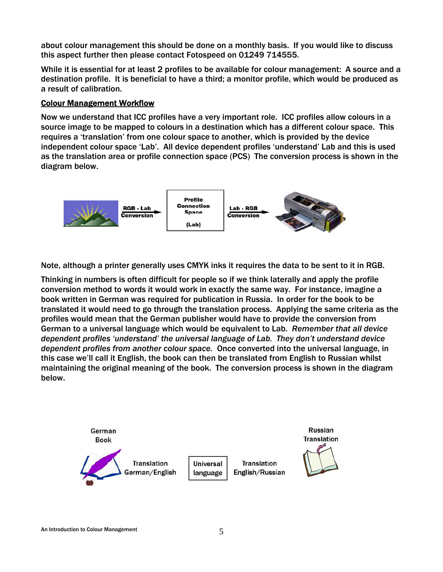about colour management this should be done on a monthly basis. If you would like to discuss this aspect further then please contact Fotospeed on 01249 714555.

While it is essential for at least 2 profiles to be available for colour management: A source and a destination profile. It is beneficial to have a third; a monitor profile, which would be produced as a result of calibration.

#### Colour Management Workflow

Now we understand that ICC profiles have a very important role. ICC profiles allow colours in a source image to be mapped to colours in a destination which has a different colour space. This requires a 'translation' from one colour space to another, which is provided by the device independent colour space 'Lab'. All device dependent profiles 'understand' Lab and this is used as the translation area or profile connection space (PCS) The conversion process is shown in the diagram below.



Note, although a printer generally uses CMYK inks it requires the data to be sent to it in RGB.

Thinking in numbers is often difficult for people so if we think laterally and apply the profile conversion method to words it would work in exactly the same way. For instance, imagine a book written in German was required for publication in Russia. In order for the book to be translated it would need to go through the translation process. Applying the same criteria as the profiles would mean that the German publisher would have to provide the conversion from German to a universal language which would be equivalent to Lab. *Remember that all device dependent profiles 'understand' the universal language of Lab. They don't understand device dependent profiles from another colour space.* Once converted into the universal language, in this case we'll call it English, the book can then be translated from English to Russian whilst maintaining the original meaning of the book. The conversion process is shown in the diagram below.